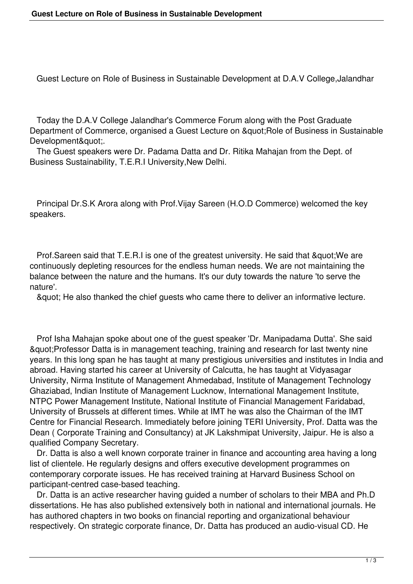Guest Lecture on Role of Business in Sustainable Development at D.A.V College,Jalandhar

 Today the D.A.V College Jalandhar's Commerce Forum along with the Post Graduate Department of Commerce, organised a Guest Lecture on " Role of Business in Sustainable Development&quot:..

 The Guest speakers were Dr. Padama Datta and Dr. Ritika Mahajan from the Dept. of Business Sustainability, T.E.R.I University,New Delhi.

 Principal Dr.S.K Arora along with Prof.Vijay Sareen (H.O.D Commerce) welcomed the key speakers.

Prof. Sareen said that T.E.R.I is one of the greatest university. He said that & quot; We are continuously depleting resources for the endless human needs. We are not maintaining the balance between the nature and the humans. It's our duty towards the nature 'to serve the nature'.

& quot; He also thanked the chief guests who came there to deliver an informative lecture.

 Prof Isha Mahajan spoke about one of the guest speaker 'Dr. Manipadama Dutta'. She said "Professor Datta is in management teaching, training and research for last twenty nine years. In this long span he has taught at many prestigious universities and institutes in India and abroad. Having started his career at University of Calcutta, he has taught at Vidyasagar University, Nirma Institute of Management Ahmedabad, Institute of Management Technology Ghaziabad, Indian Institute of Management Lucknow, International Management Institute, NTPC Power Management Institute, National Institute of Financial Management Faridabad, University of Brussels at different times. While at IMT he was also the Chairman of the IMT Centre for Financial Research. Immediately before joining TERI University, Prof. Datta was the Dean ( Corporate Training and Consultancy) at JK Lakshmipat University, Jaipur. He is also a qualified Company Secretary.

 Dr. Datta is also a well known corporate trainer in finance and accounting area having a long list of clientele. He regularly designs and offers executive development programmes on contemporary corporate issues. He has received training at Harvard Business School on participant-centred case-based teaching.

 Dr. Datta is an active researcher having guided a number of scholars to their MBA and Ph.D dissertations. He has also published extensively both in national and international journals. He has authored chapters in two books on financial reporting and organizational behaviour respectively. On strategic corporate finance, Dr. Datta has produced an audio-visual CD. He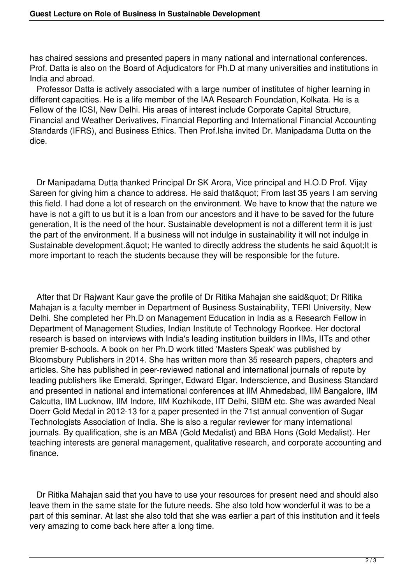has chaired sessions and presented papers in many national and international conferences. Prof. Datta is also on the Board of Adjudicators for Ph.D at many universities and institutions in India and abroad.

 Professor Datta is actively associated with a large number of institutes of higher learning in different capacities. He is a life member of the IAA Research Foundation, Kolkata. He is a Fellow of the ICSI, New Delhi. His areas of interest include Corporate Capital Structure, Financial and Weather Derivatives, Financial Reporting and International Financial Accounting Standards (IFRS), and Business Ethics. Then Prof.Isha invited Dr. Manipadama Dutta on the dice.

 Dr Manipadama Dutta thanked Principal Dr SK Arora, Vice principal and H.O.D Prof. Vijay Sareen for giving him a chance to address. He said that" From last 35 years I am serving this field. I had done a lot of research on the environment. We have to know that the nature we have is not a gift to us but it is a loan from our ancestors and it have to be saved for the future generation, It is the need of the hour. Sustainable development is not a different term it is just the part of the environment. If a business will not indulge in sustainability it will not indulge in Sustainable development. & quot; He wanted to directly address the students he said & quot; It is more important to reach the students because they will be responsible for the future.

After that Dr Rajwant Kaur gave the profile of Dr Ritika Mahajan she said" Dr Ritika Mahajan is a faculty member in Department of Business Sustainability, TERI University, New Delhi. She completed her Ph.D on Management Education in India as a Research Fellow in Department of Management Studies, Indian Institute of Technology Roorkee. Her doctoral research is based on interviews with India's leading institution builders in IIMs, IITs and other premier B-schools. A book on her Ph.D work titled 'Masters Speak' was published by Bloomsbury Publishers in 2014. She has written more than 35 research papers, chapters and articles. She has published in peer-reviewed national and international journals of repute by leading publishers like Emerald, Springer, Edward Elgar, Inderscience, and Business Standard and presented in national and international conferences at IIM Ahmedabad, IIM Bangalore, IIM Calcutta, IIM Lucknow, IIM Indore, IIM Kozhikode, IIT Delhi, SIBM etc. She was awarded Neal Doerr Gold Medal in 2012-13 for a paper presented in the 71st annual convention of Sugar Technologists Association of India. She is also a regular reviewer for many international journals. By qualification, she is an MBA (Gold Medalist) and BBA Hons (Gold Medalist). Her teaching interests are general management, qualitative research, and corporate accounting and finance.

 Dr Ritika Mahajan said that you have to use your resources for present need and should also leave them in the same state for the future needs. She also told how wonderful it was to be a part of this seminar. At last she also told that she was earlier a part of this institution and it feels very amazing to come back here after a long time.